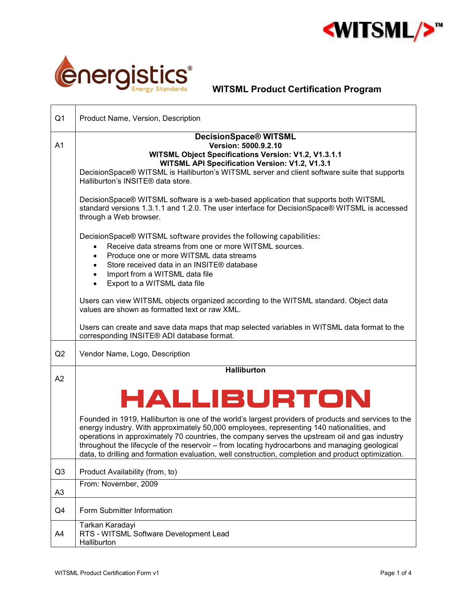

٦



 $\Gamma$ 

| Q <sub>1</sub> | Product Name, Version, Description                                                                                                                                                                                                                                                                                                                                                                                                                                                                           |
|----------------|--------------------------------------------------------------------------------------------------------------------------------------------------------------------------------------------------------------------------------------------------------------------------------------------------------------------------------------------------------------------------------------------------------------------------------------------------------------------------------------------------------------|
| A <sub>1</sub> | DecisionSpace® WITSML<br>Version: 5000.9.2.10<br>WITSML Object Specifications Version: V1.2, V1.3.1.1<br>WITSML API Specification Version: V1.2, V1.3.1<br>DecisionSpace® WITSML is Halliburton's WITSML server and client software suite that supports<br>Halliburton's INSITE® data store.                                                                                                                                                                                                                 |
|                | DecisionSpace® WITSML software is a web-based application that supports both WITSML<br>standard versions 1.3.1.1 and 1.2.0. The user interface for DecisionSpace® WITSML is accessed<br>through a Web browser.                                                                                                                                                                                                                                                                                               |
|                | DecisionSpace® WITSML software provides the following capabilities:<br>Receive data streams from one or more WITSML sources.<br>$\bullet$<br>Produce one or more WITSML data streams<br>$\bullet$<br>Store received data in an INSITE® database<br>$\bullet$<br>Import from a WITSML data file<br>$\bullet$<br>Export to a WITSML data file<br>$\bullet$                                                                                                                                                     |
|                | Users can view WITSML objects organized according to the WITSML standard. Object data<br>values are shown as formatted text or raw XML.                                                                                                                                                                                                                                                                                                                                                                      |
|                | Users can create and save data maps that map selected variables in WITSML data format to the<br>corresponding INSITE® ADI database format.                                                                                                                                                                                                                                                                                                                                                                   |
| Q2             | Vendor Name, Logo, Description                                                                                                                                                                                                                                                                                                                                                                                                                                                                               |
| A2             | <b>Halliburton</b>                                                                                                                                                                                                                                                                                                                                                                                                                                                                                           |
|                | HALLIBURTON                                                                                                                                                                                                                                                                                                                                                                                                                                                                                                  |
|                | Founded in 1919, Halliburton is one of the world's largest providers of products and services to the<br>energy industry. With approximately 50,000 employees, representing 140 nationalities, and<br>operations in approximately 70 countries, the company serves the upstream oil and gas industry<br>throughout the lifecycle of the reservoir - from locating hydrocarbons and managing geological<br>data, to drilling and formation evaluation, well construction, completion and product optimization. |
| Q <sub>3</sub> | Product Availability (from, to)                                                                                                                                                                                                                                                                                                                                                                                                                                                                              |
| A <sub>3</sub> | From: November, 2009                                                                                                                                                                                                                                                                                                                                                                                                                                                                                         |
| Q4             | Form Submitter Information                                                                                                                                                                                                                                                                                                                                                                                                                                                                                   |
| A4             | Tarkan Karadayi<br>RTS - WITSML Software Development Lead<br>Halliburton                                                                                                                                                                                                                                                                                                                                                                                                                                     |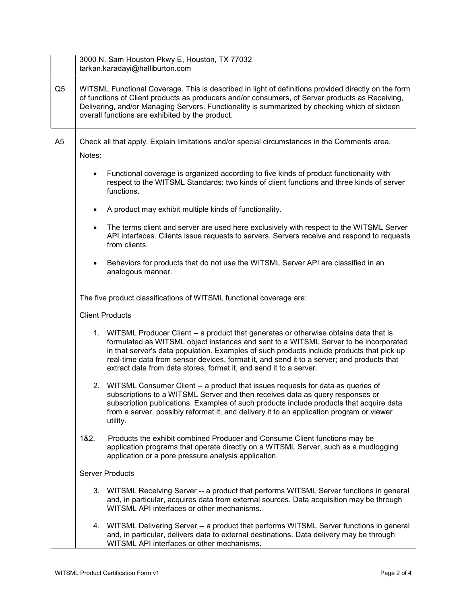|                | 3000 N. Sam Houston Pkwy E, Houston, TX 77032<br>tarkan.karadayi@halliburton.com                                                                                                                                                                                                                                                                                                                                                                |  |  |
|----------------|-------------------------------------------------------------------------------------------------------------------------------------------------------------------------------------------------------------------------------------------------------------------------------------------------------------------------------------------------------------------------------------------------------------------------------------------------|--|--|
| Q <sub>5</sub> | WITSML Functional Coverage. This is described in light of definitions provided directly on the form<br>of functions of Client products as producers and/or consumers, of Server products as Receiving,<br>Delivering, and/or Managing Servers. Functionality is summarized by checking which of sixteen<br>overall functions are exhibited by the product.                                                                                      |  |  |
| A <sub>5</sub> | Check all that apply. Explain limitations and/or special circumstances in the Comments area.                                                                                                                                                                                                                                                                                                                                                    |  |  |
|                | Notes:                                                                                                                                                                                                                                                                                                                                                                                                                                          |  |  |
|                | Functional coverage is organized according to five kinds of product functionality with<br>$\bullet$<br>respect to the WITSML Standards: two kinds of client functions and three kinds of server<br>functions.                                                                                                                                                                                                                                   |  |  |
|                | A product may exhibit multiple kinds of functionality.<br>$\bullet$                                                                                                                                                                                                                                                                                                                                                                             |  |  |
|                | The terms client and server are used here exclusively with respect to the WITSML Server<br>$\bullet$<br>API interfaces. Clients issue requests to servers. Servers receive and respond to requests<br>from clients.                                                                                                                                                                                                                             |  |  |
|                | Behaviors for products that do not use the WITSML Server API are classified in an<br>analogous manner.                                                                                                                                                                                                                                                                                                                                          |  |  |
|                | The five product classifications of WITSML functional coverage are:                                                                                                                                                                                                                                                                                                                                                                             |  |  |
|                | <b>Client Products</b>                                                                                                                                                                                                                                                                                                                                                                                                                          |  |  |
|                | 1. WITSML Producer Client -- a product that generates or otherwise obtains data that is<br>formulated as WITSML object instances and sent to a WITSML Server to be incorporated<br>in that server's data population. Examples of such products include products that pick up<br>real-time data from sensor devices, format it, and send it to a server; and products that<br>extract data from data stores, format it, and send it to a server. |  |  |
|                | 2. WITSML Consumer Client -- a product that issues requests for data as queries of<br>subscriptions to a WITSML Server and then receives data as query responses or<br>subscription publications. Examples of such products include products that acquire data<br>from a server, possibly reformat it, and delivery it to an application program or viewer<br>utility.                                                                          |  |  |
|                | 1&2.<br>Products the exhibit combined Producer and Consume Client functions may be<br>application programs that operate directly on a WITSML Server, such as a mudlogging<br>application or a pore pressure analysis application.                                                                                                                                                                                                               |  |  |
|                | <b>Server Products</b>                                                                                                                                                                                                                                                                                                                                                                                                                          |  |  |
|                | 3. WITSML Receiving Server -- a product that performs WITSML Server functions in general<br>and, in particular, acquires data from external sources. Data acquisition may be through<br>WITSML API interfaces or other mechanisms.                                                                                                                                                                                                              |  |  |
|                | 4. WITSML Delivering Server -- a product that performs WITSML Server functions in general<br>and, in particular, delivers data to external destinations. Data delivery may be through<br>WITSML API interfaces or other mechanisms.                                                                                                                                                                                                             |  |  |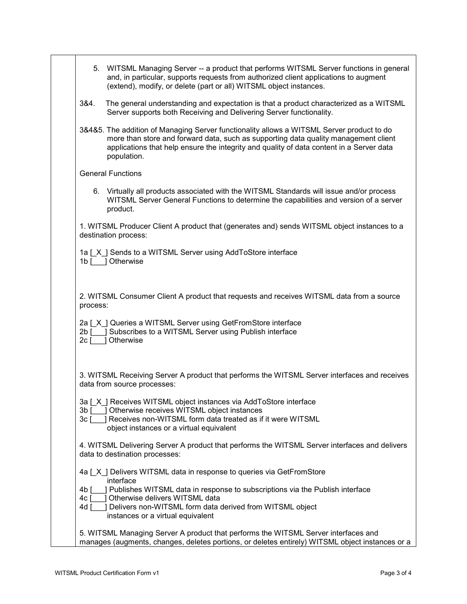|                    | 5. WITSML Managing Server -- a product that performs WITSML Server functions in general<br>and, in particular, supports requests from authorized client applications to augment<br>(extend), modify, or delete (part or all) WITSML object instances.                                                  |
|--------------------|--------------------------------------------------------------------------------------------------------------------------------------------------------------------------------------------------------------------------------------------------------------------------------------------------------|
| 3&4.               | The general understanding and expectation is that a product characterized as a WITSML<br>Server supports both Receiving and Delivering Server functionality.                                                                                                                                           |
|                    | 3&4&5. The addition of Managing Server functionality allows a WITSML Server product to do<br>more than store and forward data, such as supporting data quality management client<br>applications that help ensure the integrity and quality of data content in a Server data<br>population.            |
|                    | <b>General Functions</b>                                                                                                                                                                                                                                                                               |
|                    | 6. Virtually all products associated with the WITSML Standards will issue and/or process<br>WITSML Server General Functions to determine the capabilities and version of a server<br>product.                                                                                                          |
|                    | 1. WITSML Producer Client A product that (generates and) sends WITSML object instances to a<br>destination process:                                                                                                                                                                                    |
|                    | 1a [X] Sends to a WITSML Server using AddToStore interface<br>1b [ ] Otherwise                                                                                                                                                                                                                         |
| process:           | 2. WITSML Consumer Client A product that requests and receives WITSML data from a source                                                                                                                                                                                                               |
| $2c$ [             | 2a [X] Queries a WITSML Server using GetFromStore interface<br>2b [ ] Subscribes to a WITSML Server using Publish interface<br>1 Otherwise                                                                                                                                                             |
|                    | 3. WITSML Receiving Server A product that performs the WITSML Server interfaces and receives<br>data from source processes:                                                                                                                                                                            |
| 3b [<br>3c [       | 3a [X] Receives WITSML object instances via AddToStore interface<br>] Otherwise receives WITSML object instances<br>] Receives non-WITSML form data treated as if it were WITSML<br>object instances or a virtual equivalent                                                                           |
|                    | 4. WITSML Delivering Server A product that performs the WITSML Server interfaces and delivers<br>data to destination processes:                                                                                                                                                                        |
| 4b [<br>4c [<br>4d | 4a [X ] Delivers WITSML data in response to queries via GetFromStore<br>interface<br>] Publishes WITSML data in response to subscriptions via the Publish interface<br>Otherwise delivers WITSML data<br>Delivers non-WITSML form data derived from WITSML object<br>instances or a virtual equivalent |
|                    | 5. WITSML Managing Server A product that performs the WITSML Server interfaces and<br>manages (augments, changes, deletes portions, or deletes entirely) WITSML object instances or a                                                                                                                  |